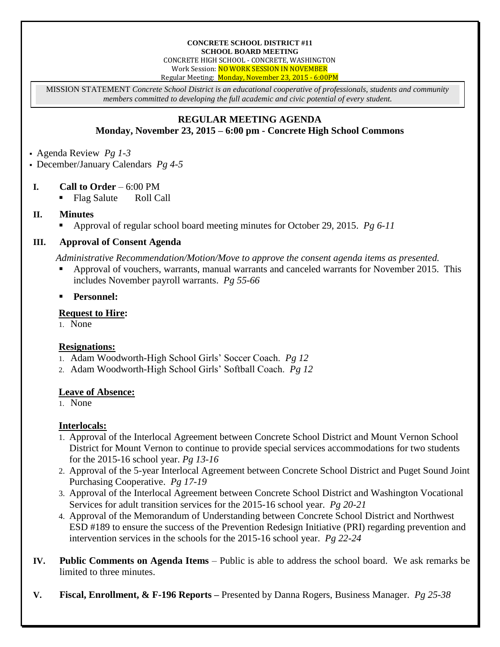#### **CONCRETE SCHOOL DISTRICT #11 SCHOOL BOARD MEETING** CONCRETE HIGH SCHOOL - CONCRETE, WASHINGTON Work Session: NO WORK SESSION IN NOVEMBER Regular Meeting: Monday, November 23, 2015 - 6:00PM

MISSION STATEMENT *Concrete School District is an educational cooperative of professionals, students and community members committed to developing the full academic and civic potential of every student.*

# **REGULAR MEETING AGENDA Monday, November 23, 2015 – 6:00 pm - Concrete High School Commons**

Agenda Review *Pg 1-3*

December/January Calendars *Pg 4-5*

# **I. Call to Order** – 6:00 PM

Flag Salute Roll Call

### **II. Minutes**

Approval of regular school board meeting minutes for October 29, 2015. *Pg 6-11*

# **III. Approval of Consent Agenda**

*Administrative Recommendation/Motion/Move to approve the consent agenda items as presented.*

- Approval of vouchers, warrants, manual warrants and canceled warrants for November 2015. This includes November payroll warrants. *Pg 55-66*
- **Personnel:**

### **Request to Hire:**

1. None

# **Resignations:**

- 1. Adam Woodworth-High School Girls' Soccer Coach. *Pg 12*
- 2. Adam Woodworth-High School Girls' Softball Coach. *Pg 12*

### **Leave of Absence:**

1. None

### **Interlocals:**

- 1. Approval of the Interlocal Agreement between Concrete School District and Mount Vernon School District for Mount Vernon to continue to provide special services accommodations for two students for the 2015-16 school year. *Pg 13-16*
- 2. Approval of the 5-year Interlocal Agreement between Concrete School District and Puget Sound Joint Purchasing Cooperative. *Pg 17-19*
- 3. Approval of the Interlocal Agreement between Concrete School District and Washington Vocational Services for adult transition services for the 2015-16 school year. *Pg 20-21*
- 4. Approval of the Memorandum of Understanding between Concrete School District and Northwest ESD #189 to ensure the success of the Prevention Redesign Initiative (PRI) regarding prevention and intervention services in the schools for the 2015-16 school year. *Pg 22-24*
- **IV. Public Comments on Agenda Items** Public is able to address the school board. We ask remarks be limited to three minutes.
- **V. Fiscal, Enrollment, & F-196 Reports –** Presented by Danna Rogers, Business Manager. *Pg 25-38*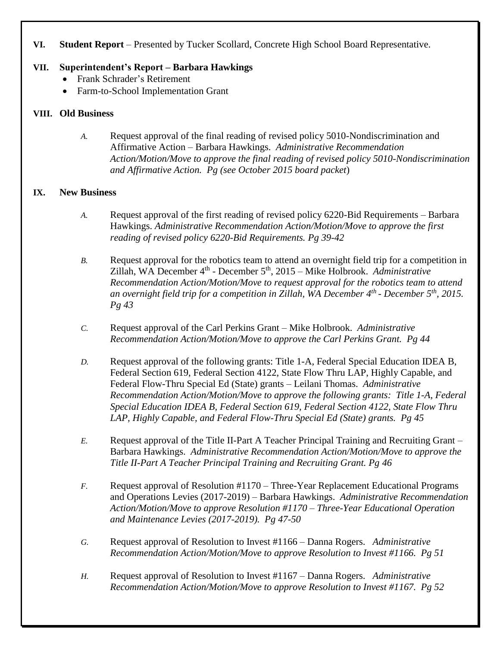# **VI. Student Report** – Presented by Tucker Scollard, Concrete High School Board Representative.

# **VII. Superintendent's Report – Barbara Hawkings**

- Frank Schrader's Retirement
- Farm-to-School Implementation Grant

# **VIII. Old Business**

*A.* Request approval of the final reading of revised policy 5010-Nondiscrimination and Affirmative Action – Barbara Hawkings. *Administrative Recommendation Action/Motion/Move to approve the final reading of revised policy 5010-Nondiscrimination and Affirmative Action. Pg (see October 2015 board packet*)

# **IX. New Business**

- *A.* Request approval of the first reading of revised policy 6220-Bid Requirements Barbara Hawkings. *Administrative Recommendation Action/Motion/Move to approve the first reading of revised policy 6220-Bid Requirements. Pg 39-42*
- *B.* Request approval for the robotics team to attend an overnight field trip for a competition in Zillah, WA December 4<sup>th</sup> - December 5<sup>th</sup>, 2015 – Mike Holbrook. *Administrative Recommendation Action/Motion/Move to request approval for the robotics team to attend an overnight field trip for a competition in Zillah, WA December 4th - December 5th, 2015. Pg 43*
- *C.* Request approval of the Carl Perkins Grant Mike Holbrook. *Administrative Recommendation Action/Motion/Move to approve the Carl Perkins Grant. Pg 44*
- *D.* Request approval of the following grants: Title 1-A, Federal Special Education IDEA B, Federal Section 619, Federal Section 4122, State Flow Thru LAP, Highly Capable, and Federal Flow-Thru Special Ed (State) grants – Leilani Thomas. *Administrative Recommendation Action/Motion/Move to approve the following grants: Title 1-A, Federal Special Education IDEA B, Federal Section 619, Federal Section 4122, State Flow Thru LAP, Highly Capable, and Federal Flow-Thru Special Ed (State) grants. Pg 45*
- *E.* Request approval of the Title II-Part A Teacher Principal Training and Recruiting Grant Barbara Hawkings. *Administrative Recommendation Action/Motion/Move to approve the Title II-Part A Teacher Principal Training and Recruiting Grant. Pg 46*
- *F.* Request approval of Resolution #1170 Three-Year Replacement Educational Programs and Operations Levies (2017-2019) – Barbara Hawkings. *Administrative Recommendation Action/Motion/Move to approve Resolution #1170 – Three-Year Educational Operation and Maintenance Levies (2017-2019). Pg 47-50*
- *G.* Request approval of Resolution to Invest #1166 Danna Rogers. *Administrative Recommendation Action/Motion/Move to approve Resolution to Invest #1166. Pg 51*
- *H.* Request approval of Resolution to Invest #1167 Danna Rogers. *Administrative Recommendation Action/Motion/Move to approve Resolution to Invest #1167. Pg 52*